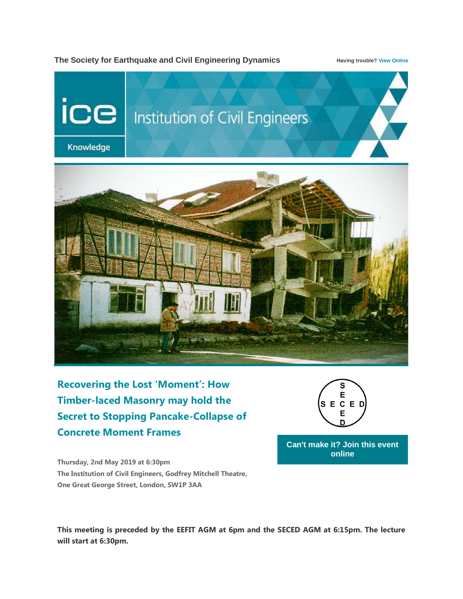## **The Society for Earthquake and Civil Engineering Dynamics Having trouble[? View Online](http://comms.ice.org.uk/In/217676734/0/UPVc_rOc55LSaMNzURmFBh98mn_LpvPm5BLdDPXGoSX/)**



**[Recovering the Lost 'Moment': How](http://comms.ice.org.uk/In/217676735/0/UPVc_rOc55LSaMNzURmFBh98mn_LpvPm5BLdDPXGoSX/)  [Timber-laced Masonry may hold the](http://comms.ice.org.uk/In/217676735/0/UPVc_rOc55LSaMNzURmFBh98mn_LpvPm5BLdDPXGoSX/)  [Secret to Stopping Pancake-Collapse of](http://comms.ice.org.uk/In/217676735/0/UPVc_rOc55LSaMNzURmFBh98mn_LpvPm5BLdDPXGoSX/)  [Concrete Moment Frames](http://comms.ice.org.uk/In/217676735/0/UPVc_rOc55LSaMNzURmFBh98mn_LpvPm5BLdDPXGoSX/)**



**[Can't make it? Join this event](http://comms.ice.org.uk/In/217676736/0/UPVc_rOc55LSaMNzURmFBh98mn_LpvPm5BLdDPXGoSX/)  [online](http://comms.ice.org.uk/In/217676736/0/UPVc_rOc55LSaMNzURmFBh98mn_LpvPm5BLdDPXGoSX/)**

**Thursday, 2nd May 2019 at 6:30pm The Institution of Civil Engineers, Godfrey Mitchell Theatre, One Great George Street, London, SW1P 3AA**

**This meeting is preceded by the EEFIT AGM at 6pm and the SECED AGM at 6:15pm. The lecture will start at 6:30pm.**